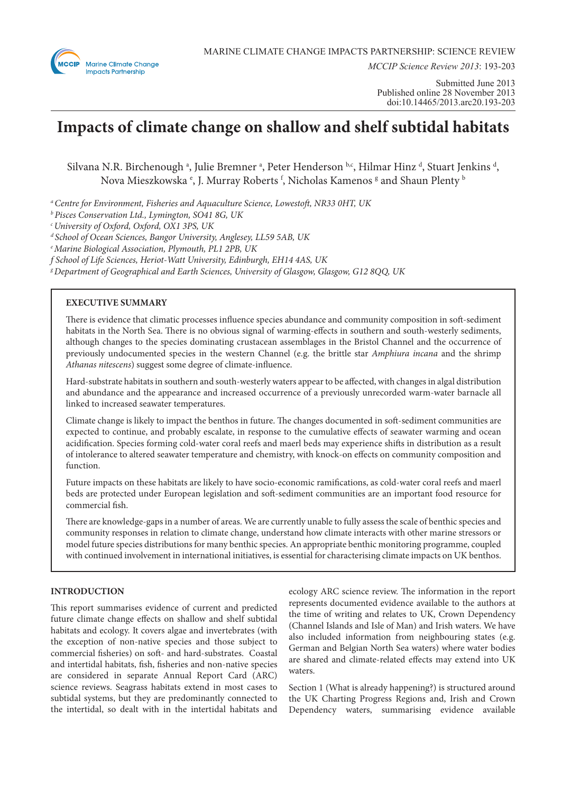

*MCCIP Science Review 2013*: 193-203

Submitted June 2013 Published online 28 November 2013 doi:10.14465/2013.arc20.193-203

# **Impacts of climate change on shallow and shelf subtidal habitats**

Silvana N.R. Birchenough <sup>a</sup>, Julie Bremner <sup>a</sup>, Peter Henderson b.c, Hilmar Hinz <sup>d</sup>, Stuart Jenkins <sup>d</sup>, Nova Mieszkowska <sup>e</sup>, J. Murray Roberts <sup>f</sup>, Nicholas Kamenos <sup>g</sup> and Shaun Plenty <sup>b</sup>

*a Centre for Environment, Fisheries and Aquaculture Science, Lowestoft, NR33 0HT, UK*

*b Pisces Conservation Ltd., Lymington, SO41 8G, UK*

*c University of Oxford, Oxford, OX1 3PS, UK*

*d School of Ocean Sciences, Bangor University, Anglesey, LL59 5AB, UK*

*e Marine Biological Association, Plymouth, PL1 2PB, UK*

*f School of Life Sciences, Heriot-Watt University, Edinburgh, EH14 4AS, UK*

*g Department of Geographical and Earth Sciences, University of Glasgow, Glasgow, G12 8QQ, UK*

# **EXECUTIVE SUMMARY**

There is evidence that climatic processes influence species abundance and community composition in soft-sediment habitats in the North Sea. There is no obvious signal of warming-effects in southern and south-westerly sediments, although changes to the species dominating crustacean assemblages in the Bristol Channel and the occurrence of previously undocumented species in the western Channel (e.g. the brittle star *Amphiura incana* and the shrimp *Athanas nitescens*) suggest some degree of climate-influence.

Hard-substrate habitats in southern and south-westerly waters appear to be affected, with changes in algal distribution and abundance and the appearance and increased occurrence of a previously unrecorded warm-water barnacle all linked to increased seawater temperatures.

Climate change is likely to impact the benthos in future. The changes documented in soft-sediment communities are expected to continue, and probably escalate, in response to the cumulative effects of seawater warming and ocean acidification. Species forming cold-water coral reefs and maerl beds may experience shifts in distribution as a result of intolerance to altered seawater temperature and chemistry, with knock-on effects on community composition and function.

Future impacts on these habitats are likely to have socio-economic ramifications, as cold-water coral reefs and maerl beds are protected under European legislation and soft-sediment communities are an important food resource for commercial fish.

There are knowledge-gaps in a number of areas. We are currently unable to fully assess the scale of benthic species and community responses in relation to climate change, understand how climate interacts with other marine stressors or model future species distributions for many benthic species. An appropriate benthic monitoring programme, coupled with continued involvement in international initiatives, is essential for characterising climate impacts on UK benthos.

# **INTRODUCTION**

This report summarises evidence of current and predicted future climate change effects on shallow and shelf subtidal habitats and ecology. It covers algae and invertebrates (with the exception of non-native species and those subject to commercial fisheries) on soft- and hard-substrates. Coastal and intertidal habitats, fish, fisheries and non-native species are considered in separate Annual Report Card (ARC) science reviews. Seagrass habitats extend in most cases to subtidal systems, but they are predominantly connected to the intertidal, so dealt with in the intertidal habitats and

ecology ARC science review. The information in the report represents documented evidence available to the authors at the time of writing and relates to UK, Crown Dependency (Channel Islands and Isle of Man) and Irish waters. We have also included information from neighbouring states (e.g. German and Belgian North Sea waters) where water bodies are shared and climate-related effects may extend into UK waters.

Section 1 (What is already happening?) is structured around the UK Charting Progress Regions and, Irish and Crown Dependency waters, summarising evidence available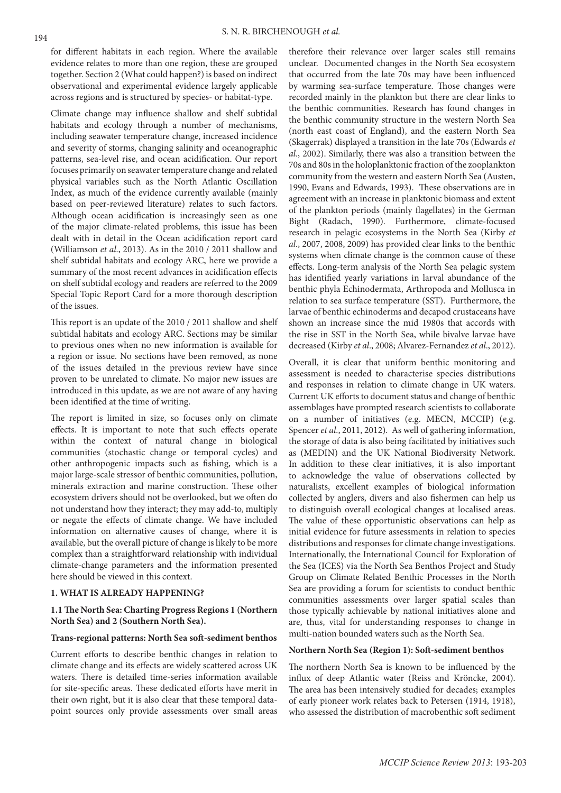for different habitats in each region. Where the available evidence relates to more than one region, these are grouped together. Section 2 (What could happen?) is based on indirect observational and experimental evidence largely applicable across regions and is structured by species- or habitat-type.

Climate change may influence shallow and shelf subtidal habitats and ecology through a number of mechanisms, including seawater temperature change, increased incidence and severity of storms, changing salinity and oceanographic patterns, sea-level rise, and ocean acidification. Our report focuses primarily on seawater temperature change and related physical variables such as the North Atlantic Oscillation Index, as much of the evidence currently available (mainly based on peer-reviewed literature) relates to such factors. Although ocean acidification is increasingly seen as one of the major climate-related problems, this issue has been dealt with in detail in the Ocean acidification report card (Williamson *et al*., 2013). As in the 2010 / 2011 shallow and shelf subtidal habitats and ecology ARC, here we provide a summary of the most recent advances in acidification effects on shelf subtidal ecology and readers are referred to the 2009 Special Topic Report Card for a more thorough description of the issues.

This report is an update of the 2010 / 2011 shallow and shelf subtidal habitats and ecology ARC. Sections may be similar to previous ones when no new information is available for a region or issue. No sections have been removed, as none of the issues detailed in the previous review have since proven to be unrelated to climate. No major new issues are introduced in this update, as we are not aware of any having been identified at the time of writing.

The report is limited in size, so focuses only on climate effects. It is important to note that such effects operate within the context of natural change in biological communities (stochastic change or temporal cycles) and other anthropogenic impacts such as fishing, which is a major large-scale stressor of benthic communities, pollution, minerals extraction and marine construction. These other ecosystem drivers should not be overlooked, but we often do not understand how they interact; they may add-to, multiply or negate the effects of climate change. We have included information on alternative causes of change, where it is available, but the overall picture of change is likely to be more complex than a straightforward relationship with individual climate-change parameters and the information presented here should be viewed in this context.

# **1. WHAT IS ALREADY HAPPENING?**

## **1.1 The North Sea: Charting Progress Regions 1 (Northern North Sea) and 2 (Southern North Sea).**

## **Trans-regional patterns: North Sea soft-sediment benthos**

Current efforts to describe benthic changes in relation to climate change and its effects are widely scattered across UK waters. There is detailed time-series information available for site-specific areas. These dedicated efforts have merit in their own right, but it is also clear that these temporal datapoint sources only provide assessments over small areas

therefore their relevance over larger scales still remains unclear. Documented changes in the North Sea ecosystem that occurred from the late 70s may have been influenced by warming sea-surface temperature. Those changes were recorded mainly in the plankton but there are clear links to the benthic communities. Research has found changes in the benthic community structure in the western North Sea (north east coast of England), and the eastern North Sea (Skagerrak) displayed a transition in the late 70s (Edwards *et al*., 2002). Similarly, there was also a transition between the 70s and 80s in the holoplanktonic fraction of the zooplankton community from the western and eastern North Sea (Austen, 1990, Evans and Edwards, 1993). These observations are in agreement with an increase in planktonic biomass and extent of the plankton periods (mainly flagellates) in the German Bight (Radach, 1990). Furthermore, climate-focused research in pelagic ecosystems in the North Sea (Kirby *et al*., 2007, 2008, 2009) has provided clear links to the benthic systems when climate change is the common cause of these effects. Long-term analysis of the North Sea pelagic system has identified yearly variations in larval abundance of the benthic phyla Echinodermata, Arthropoda and Mollusca in relation to sea surface temperature (SST). Furthermore, the larvae of benthic echinoderms and decapod crustaceans have shown an increase since the mid 1980s that accords with the rise in SST in the North Sea, while bivalve larvae have decreased (Kirby *et al*., 2008; Alvarez-Fernandez *et al*., 2012).

Overall, it is clear that uniform benthic monitoring and assessment is needed to characterise species distributions and responses in relation to climate change in UK waters. Current UK efforts to document status and change of benthic assemblages have prompted research scientists to collaborate on a number of initiatives (e.g. MECN, MCCIP) (e.g. Spencer *et al*., 2011, 2012). As well of gathering information, the storage of data is also being facilitated by initiatives such as (MEDIN) and the UK National Biodiversity Network. In addition to these clear initiatives, it is also important to acknowledge the value of observations collected by naturalists, excellent examples of biological information collected by anglers, divers and also fishermen can help us to distinguish overall ecological changes at localised areas. The value of these opportunistic observations can help as initial evidence for future assessments in relation to species distributions and responses for climate change investigations. Internationally, the International Council for Exploration of the Sea (ICES) via the North Sea Benthos Project and Study Group on Climate Related Benthic Processes in the North Sea are providing a forum for scientists to conduct benthic communities assessments over larger spatial scales than those typically achievable by national initiatives alone and are, thus, vital for understanding responses to change in multi-nation bounded waters such as the North Sea.

## **Northern North Sea (Region 1): Soft-sediment benthos**

The northern North Sea is known to be influenced by the influx of deep Atlantic water (Reiss and Kröncke, 2004). The area has been intensively studied for decades; examples of early pioneer work relates back to Petersen (1914, 1918), who assessed the distribution of macrobenthic soft sediment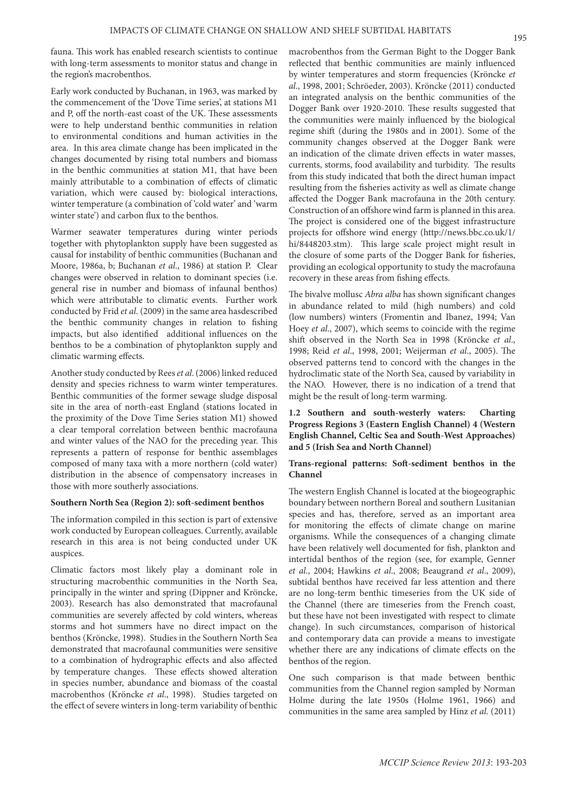fauna. This work has enabled research scientists to continue with long-term assessments to monitor status and change in the region's macrobenthos.

Early work conducted by Buchanan, in 1963, was marked by the commencement of the 'Dove Time series', at stations M1 and P, off the north-east coast of the UK. These assessments were to help understand benthic communities in relation to environmental conditions and human activities in the area. In this area climate change has been implicated in the changes documented by rising total numbers and biomass in the benthic communities at station M1, that have been mainly attributable to a combination of effects of climatic variation, which were caused by: biological interactions, winter temperature (a combination of 'cold water' and 'warm winter state') and carbon flux to the benthos.

Warmer seawater temperatures during winter periods together with phytoplankton supply have been suggested as causal for instability of benthic communities (Buchanan and Moore, 1986a, b; Buchanan *et al*., 1986) at station P. Clear changes were observed in relation to dominant species (i.e. general rise in number and biomass of infaunal benthos) which were attributable to climatic events. Further work conducted by Frid *et al*. (2009) in the same area hasdescribed the benthic community changes in relation to fishing impacts, but also identified additional influences on the benthos to be a combination of phytoplankton supply and climatic warming effects.

Another study conducted by Rees *et al*. (2006) linked reduced density and species richness to warm winter temperatures. Benthic communities of the former sewage sludge disposal site in the area of north-east England (stations located in the proximity of the Dove Time Series station M1) showed a clear temporal correlation between benthic macrofauna and winter values of the NAO for the preceding year. This represents a pattern of response for benthic assemblages composed of many taxa with a more northern (cold water) distribution in the absence of compensatory increases in those with more southerly associations.

## **Southern North Sea (Region 2): soft-sediment benthos**

The information compiled in this section is part of extensive work conducted by European colleagues. Currently, available research in this area is not being conducted under UK auspices.

Climatic factors most likely play a dominant role in structuring macrobenthic communities in the North Sea, principally in the winter and spring (Dippner and Kröncke, 2003). Research has also demonstrated that macrofaunal communities are severely affected by cold winters, whereas storms and hot summers have no direct impact on the benthos (Kröncke, 1998). Studies in the Southern North Sea demonstrated that macrofaunal communities were sensitive to a combination of hydrographic effects and also affected by temperature changes. These effects showed alteration in species number, abundance and biomass of the coastal macrobenthos (Kröncke *et al*., 1998). Studies targeted on the effect of severe winters in long-term variability of benthic

macrobenthos from the German Bight to the Dogger Bank reflected that benthic communities are mainly influenced by winter temperatures and storm frequencies (Kröncke *et al*., 1998, 2001; Schröeder, 2003). Kröncke (2011) conducted an integrated analysis on the benthic communities of the Dogger Bank over 1920-2010. These results suggested that the communities were mainly influenced by the biological regime shift (during the 1980s and in 2001). Some of the community changes observed at the Dogger Bank were an indication of the climate driven effects in water masses, currents, storms, food availability and turbidity. The results from this study indicated that both the direct human impact resulting from the fisheries activity as well as climate change affected the Dogger Bank macrofauna in the 20th century. Construction of an offshore wind farm is planned in this area. The project is considered one of the biggest infrastructure projects for offshore wind energy (http://news.bbc.co.uk/1/ hi/8448203.stm). This large scale project might result in the closure of some parts of the Dogger Bank for fisheries, providing an ecological opportunity to study the macrofauna recovery in these areas from fishing effects.

The bivalve mollusc *Abra alba* has shown significant changes in abundance related to mild (high numbers) and cold (low numbers) winters (Fromentin and Ibanez, 1994; Van Hoey *et al*., 2007), which seems to coincide with the regime shift observed in the North Sea in 1998 (Kröncke *et al*., 1998; Reid *et al*., 1998, 2001; Weijerman *et al*., 2005). The observed patterns tend to concord with the changes in the hydroclimatic state of the North Sea, caused by variability in the NAO. However, there is no indication of a trend that might be the result of long-term warming.

# **1.2 Southern and south-westerly waters: Charting Progress Regions 3 (Eastern English Channel) 4 (Western English Channel, Celtic Sea and South-West Approaches) and 5 (Irish Sea and North Channel)**

# **Trans-regional patterns: Soft-sediment benthos in the Channel**

The western English Channel is located at the biogeographic boundary between northern Boreal and southern Lusitanian species and has, therefore, served as an important area for monitoring the effects of climate change on marine organisms. While the consequences of a changing climate have been relatively well documented for fish, plankton and intertidal benthos of the region (see, for example, Genner *et al*., 2004; Hawkins *et al*., 2008; Beaugrand *et al*., 2009), subtidal benthos have received far less attention and there are no long-term benthic timeseries from the UK side of the Channel (there are timeseries from the French coast, but these have not been investigated with respect to climate change). In such circumstances, comparison of historical and contemporary data can provide a means to investigate whether there are any indications of climate effects on the benthos of the region.

One such comparison is that made between benthic communities from the Channel region sampled by Norman Holme during the late 1950s (Holme 1961, 1966) and communities in the same area sampled by Hinz *et al*. (2011)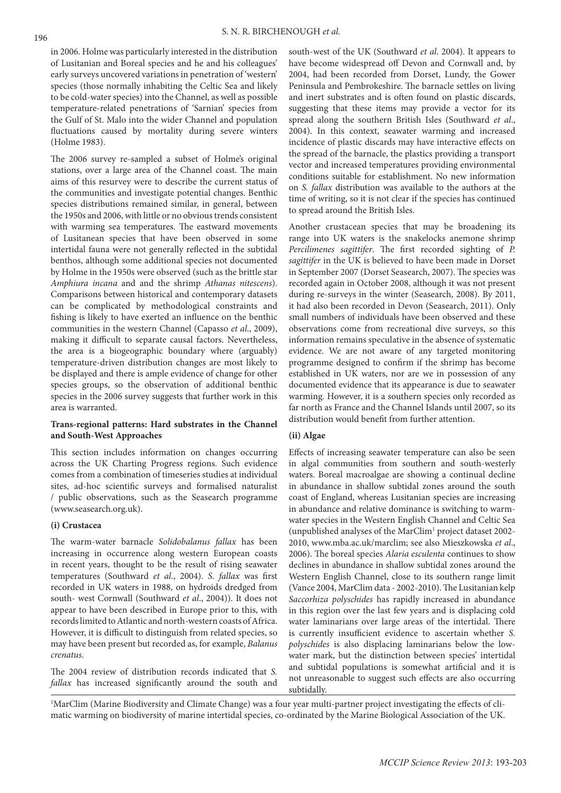in 2006. Holme was particularly interested in the distribution of Lusitanian and Boreal species and he and his colleagues' early surveys uncovered variations in penetration of 'western' species (those normally inhabiting the Celtic Sea and likely to be cold-water species) into the Channel, as well as possible temperature-related penetrations of 'Sarnian' species from the Gulf of St. Malo into the wider Channel and population fluctuations caused by mortality during severe winters (Holme 1983).

The 2006 survey re-sampled a subset of Holme's original stations, over a large area of the Channel coast. The main aims of this resurvey were to describe the current status of the communities and investigate potential changes. Benthic species distributions remained similar, in general, between the 1950s and 2006, with little or no obvious trends consistent with warming sea temperatures. The eastward movements of Lusitanean species that have been observed in some intertidal fauna were not generally reflected in the subtidal benthos, although some additional species not documented by Holme in the 1950s were observed (such as the brittle star *Amphiura incana* and and the shrimp *Athanas nitescens*). Comparisons between historical and contemporary datasets can be complicated by methodological constraints and fishing is likely to have exerted an influence on the benthic communities in the western Channel (Capasso *et al*., 2009), making it difficult to separate causal factors. Nevertheless, the area is a biogeographic boundary where (arguably) temperature-driven distribution changes are most likely to be displayed and there is ample evidence of change for other species groups, so the observation of additional benthic species in the 2006 survey suggests that further work in this area is warranted.

# **Trans-regional patterns: Hard substrates in the Channel and South-West Approaches**

This section includes information on changes occurring across the UK Charting Progress regions. Such evidence comes from a combination of timeseries studies at individual sites, ad-hoc scientific surveys and formalised naturalist / public observations, such as the Seasearch programme (www.seasearch.org.uk).

#### **(i) Crustacea**

The warm-water barnacle *Solidobalanus fallax* has been increasing in occurrence along western European coasts in recent years, thought to be the result of rising seawater temperatures (Southward *et al*., 2004). *S. fallax* was first recorded in UK waters in 1988, on hydroids dredged from south- west Cornwall (Southward *et al*., 2004)). It does not appear to have been described in Europe prior to this, with records limited to Atlantic and north-western coasts of Africa. However, it is difficult to distinguish from related species, so may have been present but recorded as, for example, *Balanus crenatus*.

The 2004 review of distribution records indicated that *S. fallax* has increased significantly around the south and south-west of the UK (Southward *et al*. 2004). It appears to have become widespread off Devon and Cornwall and, by 2004, had been recorded from Dorset, Lundy, the Gower Peninsula and Pembrokeshire. The barnacle settles on living and inert substrates and is often found on plastic discards, suggesting that these items may provide a vector for its spread along the southern British Isles (Southward *et al*., 2004). In this context, seawater warming and increased incidence of plastic discards may have interactive effects on the spread of the barnacle, the plastics providing a transport vector and increased temperatures providing environmental conditions suitable for establishment. No new information on *S. fallax* distribution was available to the authors at the time of writing, so it is not clear if the species has continued to spread around the British Isles.

Another crustacean species that may be broadening its range into UK waters is the snakelocks anemone shrimp *Percilimenes sagittifer*. The first recorded sighting of *P. sagittifer* in the UK is believed to have been made in Dorset in September 2007 (Dorset Seasearch, 2007). The species was recorded again in October 2008, although it was not present during re-surveys in the winter (Seasearch, 2008). By 2011, it had also been recorded in Devon (Seasearch, 2011). Only small numbers of individuals have been observed and these observations come from recreational dive surveys, so this information remains speculative in the absence of systematic evidence. We are not aware of any targeted monitoring programme designed to confirm if the shrimp has become established in UK waters, nor are we in possession of any documented evidence that its appearance is due to seawater warming. However, it is a southern species only recorded as far north as France and the Channel Islands until 2007, so its distribution would benefit from further attention.

# **(ii) Algae**

Effects of increasing seawater temperature can also be seen in algal communities from southern and south-westerly waters. Boreal macroalgae are showing a continual decline in abundance in shallow subtidal zones around the south coast of England, whereas Lusitanian species are increasing in abundance and relative dominance is switching to warmwater species in the Western English Channel and Celtic Sea (unpublished analyses of the MarClim1 project dataset 2002- 2010, www.mba.ac.uk/marclim; see also Mieszkowska *et al*., 2006). The boreal species *Alaria esculenta* continues to show declines in abundance in shallow subtidal zones around the Western English Channel, close to its southern range limit (Vance 2004, MarClim data - 2002-2010). The Lusitanian kelp *Saccorhiza polyschides* has rapidly increased in abundance in this region over the last few years and is displacing cold water laminarians over large areas of the intertidal. There is currently insufficient evidence to ascertain whether *S. polyschides* is also displacing laminarians below the lowwater mark, but the distinction between species' intertidal and subtidal populations is somewhat artificial and it is not unreasonable to suggest such effects are also occurring subtidally.

1 MarClim (Marine Biodiversity and Climate Change) was a four year multi-partner project investigating the effects of climatic warming on biodiversity of marine intertidal species, co-ordinated by the Marine Biological Association of the UK.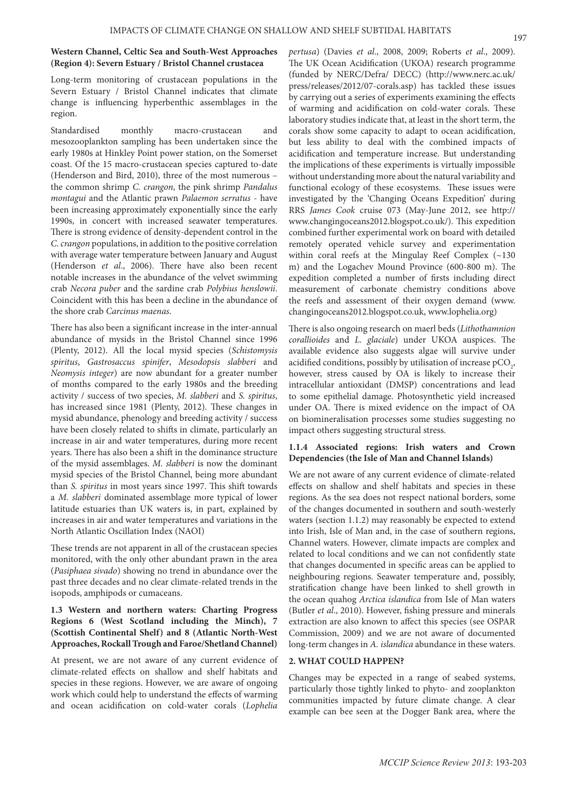#### **Western Channel, Celtic Sea and South-West Approaches (Region 4): Severn Estuary / Bristol Channel crustacea**

Long-term monitoring of crustacean populations in the Severn Estuary / Bristol Channel indicates that climate change is influencing hyperbenthic assemblages in the region.

Standardised monthly macro-crustacean and mesozooplankton sampling has been undertaken since the early 1980s at Hinkley Point power station, on the Somerset coast. Of the 15 macro-crustacean species captured to-date (Henderson and Bird, 2010), three of the most numerous – the common shrimp *C. crangon*, the pink shrimp *Pandalus montagui* and the Atlantic prawn *Palaemon serratus* - have been increasing approximately exponentially since the early 1990s, in concert with increased seawater temperatures. There is strong evidence of density-dependent control in the *C. crangon* populations, in addition to the positive correlation with average water temperature between January and August (Henderson *et al*., 2006). There have also been recent notable increases in the abundance of the velvet swimming crab *Necora puber* and the sardine crab *Polybius henslowii*. Coincident with this has been a decline in the abundance of the shore crab *Carcinus maenas*.

There has also been a significant increase in the inter-annual abundance of mysids in the Bristol Channel since 1996 (Plenty, 2012). All the local mysid species (*Schistomysis spiritus*, *Gastrosaccus spinifer*, *Mesodopsis slabberi* and *Neomysis integer*) are now abundant for a greater number of months compared to the early 1980s and the breeding activity / success of two species, *M. slabberi* and *S. spiritus*, has increased since 1981 (Plenty, 2012). These changes in mysid abundance, phenology and breeding activity / success have been closely related to shifts in climate, particularly an increase in air and water temperatures, during more recent years. There has also been a shift in the dominance structure of the mysid assemblages. *M. slabberi* is now the dominant mysid species of the Bristol Channel, being more abundant than *S. spiritus* in most years since 1997. This shift towards a *M. slabberi* dominated assemblage more typical of lower latitude estuaries than UK waters is, in part, explained by increases in air and water temperatures and variations in the North Atlantic Oscillation Index (NAOI)

These trends are not apparent in all of the crustacean species monitored, with the only other abundant prawn in the area (*Pasiphaea sivado*) showing no trend in abundance over the past three decades and no clear climate-related trends in the isopods, amphipods or cumaceans.

# **1.3 Western and northern waters: Charting Progress Regions 6 (West Scotland including the Minch), 7 (Scottish Continental Shelf) and 8 (Atlantic North-West Approaches, Rockall Trough and Faroe/Shetland Channel)**

At present, we are not aware of any current evidence of climate-related effects on shallow and shelf habitats and species in these regions. However, we are aware of ongoing work which could help to understand the effects of warming and ocean acidification on cold-water corals (*Lophelia* 

*pertusa*) (Davies *et al*., 2008, 2009; Roberts *et al*., 2009). The UK Ocean Acidification (UKOA) research programme (funded by NERC/Defra/ DECC) (http://www.nerc.ac.uk/ press/releases/2012/07-corals.asp) has tackled these issues by carrying out a series of experiments examining the effects of warming and acidification on cold-water corals. These laboratory studies indicate that, at least in the short term, the corals show some capacity to adapt to ocean acidification, but less ability to deal with the combined impacts of acidification and temperature increase. But understanding the implications of these experiments is virtually impossible without understanding more about the natural variability and functional ecology of these ecosystems. These issues were investigated by the 'Changing Oceans Expedition' during RRS *James Cook* cruise 073 (May-June 2012, see http:// www.changingoceans2012.blogspot.co.uk/). This expedition combined further experimental work on board with detailed remotely operated vehicle survey and experimentation within coral reefs at the Mingulay Reef Complex (~130 m) and the Logachev Mound Province (600-800 m). The expedition completed a number of firsts including direct measurement of carbonate chemistry conditions above the reefs and assessment of their oxygen demand (www. changingoceans2012.blogspot.co.uk, www.lophelia.org)

There is also ongoing research on maerl beds (*Lithothamnion corallioides* and *L. glaciale*) under UKOA auspices. The available evidence also suggests algae will survive under acidified conditions, possibly by utilisation of increase pCO<sub>2</sub>, however, stress caused by OA is likely to increase their intracellular antioxidant (DMSP) concentrations and lead to some epithelial damage. Photosynthetic yield increased under OA. There is mixed evidence on the impact of OA on biomineralisation processes some studies suggesting no impact others suggesting structural stress.

# **1.1.4 Associated regions: Irish waters and Crown Dependencies (the Isle of Man and Channel Islands)**

We are not aware of any current evidence of climate-related effects on shallow and shelf habitats and species in these regions. As the sea does not respect national borders, some of the changes documented in southern and south-westerly waters (section 1.1.2) may reasonably be expected to extend into Irish, Isle of Man and, in the case of southern regions, Channel waters. However, climate impacts are complex and related to local conditions and we can not confidently state that changes documented in specific areas can be applied to neighbouring regions. Seawater temperature and, possibly, stratification change have been linked to shell growth in the ocean quahog *Arctica islandica* from Isle of Man waters (Butler *et al*., 2010). However, fishing pressure and minerals extraction are also known to affect this species (see OSPAR Commission, 2009) and we are not aware of documented long-term changes in *A. islandica* abundance in these waters.

# **2. WHAT COULD HAPPEN?**

Changes may be expected in a range of seabed systems, particularly those tightly linked to phyto- and zooplankton communities impacted by future climate change. A clear example can bee seen at the Dogger Bank area, where the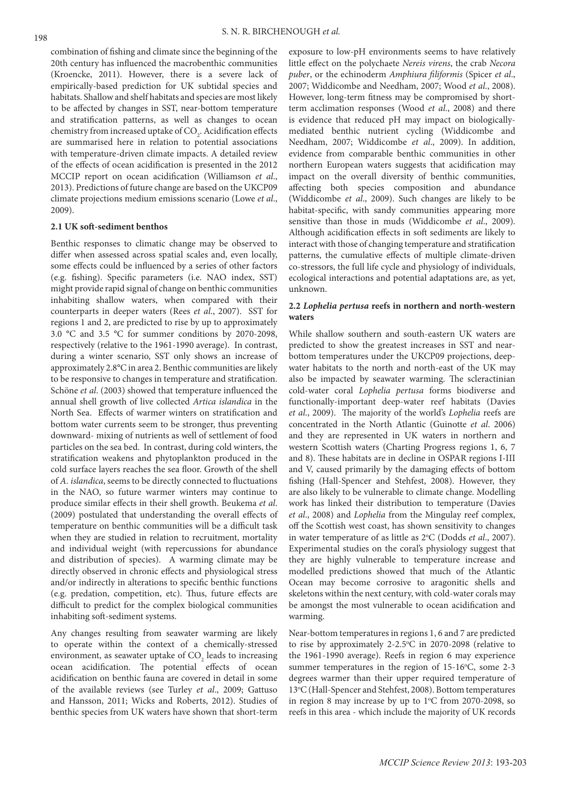combination of fishing and climate since the beginning of the 20th century has influenced the macrobenthic communities (Kroencke, 2011). However, there is a severe lack of empirically-based prediction for UK subtidal species and habitats. Shallow and shelf habitats and species are most likely to be affected by changes in SST, near-bottom temperature and stratification patterns, as well as changes to ocean chemistry from increased uptake of  $\mathrm{CO}_2$ . Acidification effects are summarised here in relation to potential associations with temperature-driven climate impacts. A detailed review of the effects of ocean acidification is presented in the 2012 MCCIP report on ocean acidification (Williamson *et al*., 2013). Predictions of future change are based on the UKCP09 climate projections medium emissions scenario (Lowe *et al*., 2009).

#### **2.1 UK soft-sediment benthos**

Benthic responses to climatic change may be observed to differ when assessed across spatial scales and, even locally, some effects could be influenced by a series of other factors (e.g. fishing). Specific parameters (i.e. NAO index, SST) might provide rapid signal of change on benthic communities inhabiting shallow waters, when compared with their counterparts in deeper waters (Rees *et al*., 2007). SST for regions 1 and 2, are predicted to rise by up to approximately 3.0 °C and 3.5 °C for summer conditions by 2070-2098, respectively (relative to the 1961-1990 average). In contrast, during a winter scenario, SST only shows an increase of approximately 2.8°C in area 2. Benthic communities are likely to be responsive to changes in temperature and stratification. Schöne *et al*. (2003) showed that temperature influenced the annual shell growth of live collected *Artica islandica* in the North Sea. Effects of warmer winters on stratification and bottom water currents seem to be stronger, thus preventing downward- mixing of nutrients as well of settlement of food particles on the sea bed. In contrast, during cold winters, the stratification weakens and phytoplankton produced in the cold surface layers reaches the sea floor. Growth of the shell of *A. islandica*, seems to be directly connected to fluctuations in the NAO, so future warmer winters may continue to produce similar effects in their shell growth. Beukema *et al*. (2009) postulated that understanding the overall effects of temperature on benthic communities will be a difficult task when they are studied in relation to recruitment, mortality and individual weight (with repercussions for abundance and distribution of species). A warming climate may be directly observed in chronic effects and physiological stress and/or indirectly in alterations to specific benthic functions (e.g. predation, competition, etc). Thus, future effects are difficult to predict for the complex biological communities inhabiting soft-sediment systems.

Any changes resulting from seawater warming are likely to operate within the context of a chemically-stressed environment, as seawater uptake of  $\mathrm{CO}_2$  leads to increasing ocean acidification. The potential effects of ocean acidification on benthic fauna are covered in detail in some of the available reviews (see Turley *et al*., 2009; Gattuso and Hansson, 2011; Wicks and Roberts, 2012). Studies of benthic species from UK waters have shown that short-term

exposure to low-pH environments seems to have relatively little effect on the polychaete *Nereis virens*, the crab *Necora puber*, or the echinoderm *Amphiura filiformis* (Spicer *et al*., 2007; Widdicombe and Needham, 2007; Wood *et al*., 2008). However, long-term fitness may be compromised by shortterm acclimation responses (Wood *et al*., 2008) and there is evidence that reduced pH may impact on biologicallymediated benthic nutrient cycling (Widdicombe and Needham, 2007; Widdicombe *et al*., 2009). In addition, evidence from comparable benthic communities in other northern European waters suggests that acidification may impact on the overall diversity of benthic communities, affecting both species composition and abundance (Widdicombe *et al*., 2009). Such changes are likely to be habitat-specific, with sandy communities appearing more sensitive than those in muds (Widdicombe *et al*., 2009). Although acidification effects in soft sediments are likely to interact with those of changing temperature and stratification patterns, the cumulative effects of multiple climate-driven co-stressors, the full life cycle and physiology of individuals, ecological interactions and potential adaptations are, as yet, unknown.

# **2.2** *Lophelia pertusa* **reefs in northern and north-western waters**

While shallow southern and south-eastern UK waters are predicted to show the greatest increases in SST and nearbottom temperatures under the UKCP09 projections, deepwater habitats to the north and north-east of the UK may also be impacted by seawater warming. The scleractinian cold-water coral *Lophelia pertusa* forms biodiverse and functionally-important deep-water reef habitats (Davies *et al*., 2009). The majority of the world's *Lophelia* reefs are concentrated in the North Atlantic (Guinotte *et al*. 2006) and they are represented in UK waters in northern and western Scottish waters (Charting Progress regions 1, 6, 7 and 8). These habitats are in decline in OSPAR regions I-III and V, caused primarily by the damaging effects of bottom fishing (Hall-Spencer and Stehfest, 2008). However, they are also likely to be vulnerable to climate change. Modelling work has linked their distribution to temperature (Davies *et al*., 2008) and *Lophelia* from the Mingulay reef complex, off the Scottish west coast, has shown sensitivity to changes in water temperature of as little as 2°C (Dodds *et al.*, 2007). Experimental studies on the coral's physiology suggest that they are highly vulnerable to temperature increase and modelled predictions showed that much of the Atlantic Ocean may become corrosive to aragonitic shells and skeletons within the next century, with cold-water corals may be amongst the most vulnerable to ocean acidification and warming.

Near-bottom temperatures in regions 1, 6 and 7 are predicted to rise by approximately 2-2.5°C in 2070-2098 (relative to the 1961-1990 average). Reefs in region 6 may experience summer temperatures in the region of  $15-16$ °C, some  $2-3$ degrees warmer than their upper required temperature of 13°C (Hall-Spencer and Stehfest, 2008). Bottom temperatures in region 8 may increase by up to  $1^{\circ}$ C from 2070-2098, so reefs in this area - which include the majority of UK records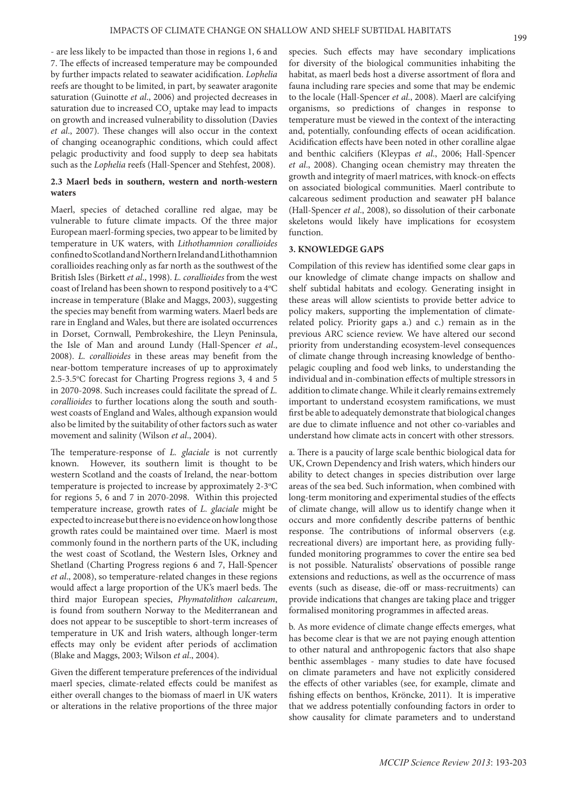- are less likely to be impacted than those in regions 1, 6 and 7. The effects of increased temperature may be compounded by further impacts related to seawater acidification. *Lophelia*  reefs are thought to be limited, in part, by seawater aragonite saturation (Guinotte *et al*., 2006) and projected decreases in saturation due to increased  $\mathrm{CO}_2$  uptake may lead to impacts on growth and increased vulnerability to dissolution (Davies *et al*., 2007). These changes will also occur in the context of changing oceanographic conditions, which could affect pelagic productivity and food supply to deep sea habitats such as the *Lophelia* reefs (Hall-Spencer and Stehfest, 2008).

# **2.3 Maerl beds in southern, western and north-western waters**

Maerl, species of detached coralline red algae, may be vulnerable to future climate impacts. Of the three major European maerl-forming species, two appear to be limited by temperature in UK waters, with *Lithothamnion corallioides*  confined to Scotland and Northern Ireland and Lithothamnion corallioides reaching only as far north as the southwest of the British Isles (Birkett *et al*., 1998). *L. corallioides* from the west coast of Ireland has been shown to respond positively to a 4°C increase in temperature (Blake and Maggs, 2003), suggesting the species may benefit from warming waters. Maerl beds are rare in England and Wales, but there are isolated occurrences in Dorset, Cornwall, Pembrokeshire, the Lleyn Peninsula, the Isle of Man and around Lundy (Hall-Spencer *et al*., 2008). *L. corallioides* in these areas may benefit from the near-bottom temperature increases of up to approximately 2.5-3.5°C forecast for Charting Progress regions 3, 4 and 5 in 2070-2098. Such increases could facilitate the spread of *L. corallioides* to further locations along the south and southwest coasts of England and Wales, although expansion would also be limited by the suitability of other factors such as water movement and salinity (Wilson *et al*., 2004).

The temperature-response of *L. glaciale* is not currently known. However, its southern limit is thought to be western Scotland and the coasts of Ireland, the near-bottom temperature is projected to increase by approximately 2-3°C for regions 5, 6 and 7 in 2070-2098. Within this projected temperature increase, growth rates of *L. glaciale* might be expected to increase but there is no evidence on how long those growth rates could be maintained over time. Maerl is most commonly found in the northern parts of the UK, including the west coast of Scotland, the Western Isles, Orkney and Shetland (Charting Progress regions 6 and 7, Hall-Spencer *et al*., 2008), so temperature-related changes in these regions would affect a large proportion of the UK's maerl beds. The third major European species, *Phymatolithon calcareum*, is found from southern Norway to the Mediterranean and does not appear to be susceptible to short-term increases of temperature in UK and Irish waters, although longer-term effects may only be evident after periods of acclimation (Blake and Maggs, 2003; Wilson *et al*., 2004).

Given the different temperature preferences of the individual maerl species, climate-related effects could be manifest as either overall changes to the biomass of maerl in UK waters or alterations in the relative proportions of the three major

species. Such effects may have secondary implications for diversity of the biological communities inhabiting the habitat, as maerl beds host a diverse assortment of flora and fauna including rare species and some that may be endemic to the locale (Hall-Spencer *et al*., 2008). Maerl are calcifying organisms, so predictions of changes in response to temperature must be viewed in the context of the interacting and, potentially, confounding effects of ocean acidification. Acidification effects have been noted in other coralline algae and benthic calcifiers (Kleypas *et al*., 2006; Hall-Spencer *et al*., 2008). Changing ocean chemistry may threaten the growth and integrity of maerl matrices, with knock-on effects on associated biological communities. Maerl contribute to calcareous sediment production and seawater pH balance (Hall-Spencer *et al*., 2008), so dissolution of their carbonate skeletons would likely have implications for ecosystem function.

#### **3. KNOWLEDGE GAPS**

Compilation of this review has identified some clear gaps in our knowledge of climate change impacts on shallow and shelf subtidal habitats and ecology. Generating insight in these areas will allow scientists to provide better advice to policy makers, supporting the implementation of climaterelated policy. Priority gaps a.) and c.) remain as in the previous ARC science review. We have altered our second priority from understanding ecosystem-level consequences of climate change through increasing knowledge of benthopelagic coupling and food web links, to understanding the individual and in-combination effects of multiple stressors in addition to climate change. While it clearly remains extremely important to understand ecosystem ramifications, we must first be able to adequately demonstrate that biological changes are due to climate influence and not other co-variables and understand how climate acts in concert with other stressors.

a. There is a paucity of large scale benthic biological data for UK, Crown Dependency and Irish waters, which hinders our ability to detect changes in species distribution over large areas of the sea bed. Such information, when combined with long-term monitoring and experimental studies of the effects of climate change, will allow us to identify change when it occurs and more confidently describe patterns of benthic response. The contributions of informal observers (e.g. recreational divers) are important here, as providing fullyfunded monitoring programmes to cover the entire sea bed is not possible. Naturalists' observations of possible range extensions and reductions, as well as the occurrence of mass events (such as disease, die-off or mass-recruitments) can provide indications that changes are taking place and trigger formalised monitoring programmes in affected areas.

b. As more evidence of climate change effects emerges, what has become clear is that we are not paying enough attention to other natural and anthropogenic factors that also shape benthic assemblages - many studies to date have focused on climate parameters and have not explicitly considered the effects of other variables (see, for example, climate and fishing effects on benthos, Kröncke, 2011). It is imperative that we address potentially confounding factors in order to show causality for climate parameters and to understand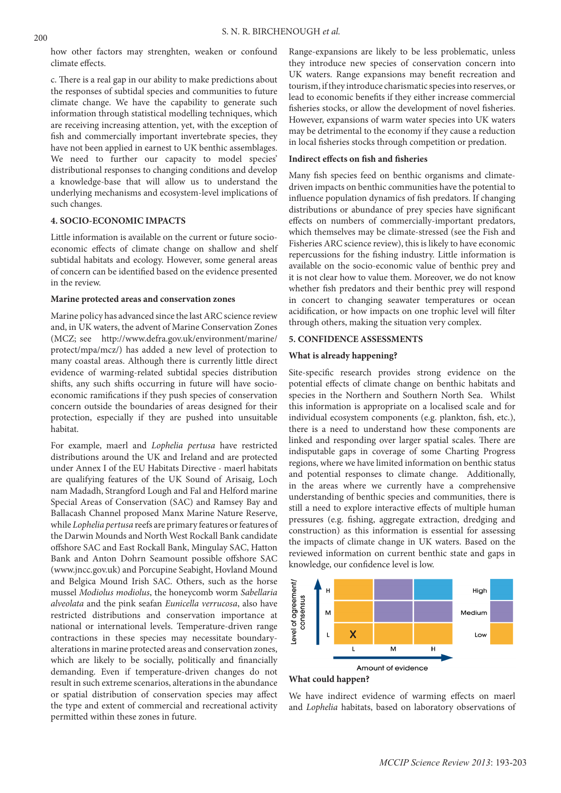how other factors may strenghten, weaken or confound climate effects.

c. There is a real gap in our ability to make predictions about the responses of subtidal species and communities to future climate change. We have the capability to generate such information through statistical modelling techniques, which are receiving increasing attention, yet, with the exception of fish and commercially important invertebrate species, they have not been applied in earnest to UK benthic assemblages. We need to further our capacity to model species' distributional responses to changing conditions and develop a knowledge-base that will allow us to understand the underlying mechanisms and ecosystem-level implications of such changes.

# **4. SOCIO-ECONOMIC IMPACTS**

Little information is available on the current or future socioeconomic effects of climate change on shallow and shelf subtidal habitats and ecology. However, some general areas of concern can be identified based on the evidence presented in the review.

#### **Marine protected areas and conservation zones**

Marine policy has advanced since the last ARC science review and, in UK waters, the advent of Marine Conservation Zones (MCZ; see http://www.defra.gov.uk/environment/marine/ protect/mpa/mcz/) has added a new level of protection to many coastal areas. Although there is currently little direct evidence of warming-related subtidal species distribution shifts, any such shifts occurring in future will have socioeconomic ramifications if they push species of conservation concern outside the boundaries of areas designed for their protection, especially if they are pushed into unsuitable habitat.

For example, maerl and *Lophelia pertusa* have restricted distributions around the UK and Ireland and are protected under Annex I of the EU Habitats Directive - maerl habitats are qualifying features of the UK Sound of Arisaig, Loch nam Madadh, Strangford Lough and Fal and Helford marine Special Areas of Conservation (SAC) and Ramsey Bay and Ballacash Channel proposed Manx Marine Nature Reserve, while *Lophelia pertusa* reefs are primary features or features of the Darwin Mounds and North West Rockall Bank candidate offshore SAC and East Rockall Bank, Mingulay SAC, Hatton Bank and Anton Dohrn Seamount possible offshore SAC (www.jncc.gov.uk) and Porcupine Seabight, Hovland Mound and Belgica Mound Irish SAC. Others, such as the horse mussel *Modiolus modiolus*, the honeycomb worm *Sabellaria alveolata* and the pink seafan *Eunicella verrucosa*, also have restricted distributions and conservation importance at national or international levels. Temperature-driven range contractions in these species may necessitate boundaryalterations in marine protected areas and conservation zones, which are likely to be socially, politically and financially demanding. Even if temperature-driven changes do not result in such extreme scenarios, alterations in the abundance or spatial distribution of conservation species may affect the type and extent of commercial and recreational activity permitted within these zones in future.

Range-expansions are likely to be less problematic, unless they introduce new species of conservation concern into UK waters. Range expansions may benefit recreation and tourism, if they introduce charismatic species into reserves, or lead to economic benefits if they either increase commercial fisheries stocks, or allow the development of novel fisheries. However, expansions of warm water species into UK waters may be detrimental to the economy if they cause a reduction in local fisheries stocks through competition or predation.

# **Indirect effects on fish and fisheries**

Many fish species feed on benthic organisms and climatedriven impacts on benthic communities have the potential to influence population dynamics of fish predators. If changing distributions or abundance of prey species have significant effects on numbers of commercially-important predators, which themselves may be climate-stressed (see the Fish and Fisheries ARC science review), this is likely to have economic repercussions for the fishing industry. Little information is available on the socio-economic value of benthic prey and it is not clear how to value them. Moreover, we do not know whether fish predators and their benthic prey will respond in concert to changing seawater temperatures or ocean acidification, or how impacts on one trophic level will filter through others, making the situation very complex.

# **5. CONFIDENCE ASSESSMENTS**

#### **What is already happening?**

Site-specific research provides strong evidence on the potential effects of climate change on benthic habitats and species in the Northern and Southern North Sea. Whilst this information is appropriate on a localised scale and for individual ecosystem components (e.g. plankton, fish, etc.), there is a need to understand how these components are linked and responding over larger spatial scales. There are indisputable gaps in coverage of some Charting Progress regions, where we have limited information on benthic status and potential responses to climate change. Additionally, in the areas where we currently have a comprehensive understanding of benthic species and communities, there is still a need to explore interactive effects of multiple human pressures (e.g. fishing, aggregate extraction, dredging and construction) as this information is essential for assessing the impacts of climate change in UK waters. Based on the reviewed information on current benthic state and gaps in knowledge, our confidence level is low.



**What could happen?** 

We have indirect evidence of warming effects on maerl and *Lophelia* habitats, based on laboratory observations of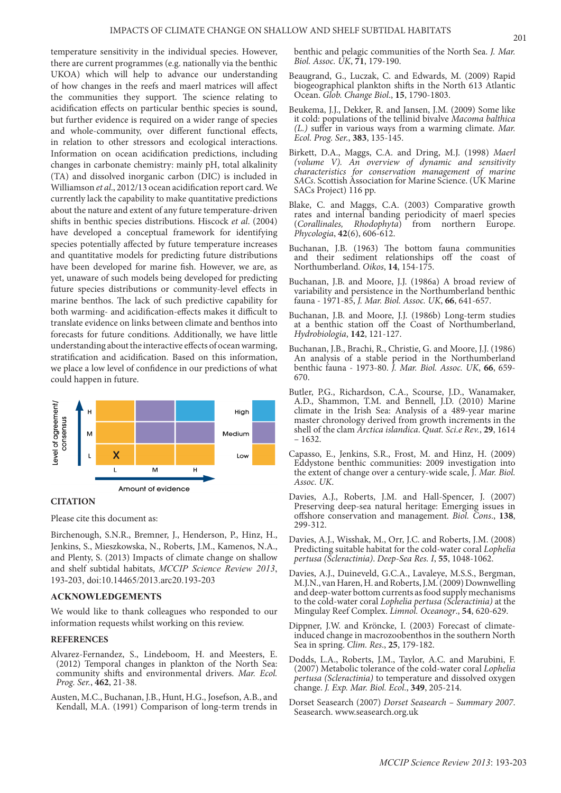temperature sensitivity in the individual species. However, there are current programmes (e.g. nationally via the benthic UKOA) which will help to advance our understanding of how changes in the reefs and maerl matrices will affect the communities they support. The science relating to acidification effects on particular benthic species is sound, but further evidence is required on a wider range of species and whole-community, over different functional effects, in relation to other stressors and ecological interactions. Information on ocean acidification predictions, including changes in carbonate chemistry: mainly pH, total alkalinity (TA) and dissolved inorganic carbon (DIC) is included in Williamson *et al*., 2012/13 ocean acidification report card. We currently lack the capability to make quantitative predictions about the nature and extent of any future temperature-driven shifts in benthic species distributions. Hiscock *et al*. (2004) have developed a conceptual framework for identifying species potentially affected by future temperature increases and quantitative models for predicting future distributions have been developed for marine fish. However, we are, as yet, unaware of such models being developed for predicting future species distributions or community-level effects in marine benthos. The lack of such predictive capability for both warming- and acidification-effects makes it difficult to translate evidence on links between climate and benthos into forecasts for future conditions. Additionally, we have little understanding about the interactive effects of ocean warming, stratification and acidification. Based on this information, we place a low level of confidence in our predictions of what could happen in future.



## **CITATION**

Please cite this document as:

Birchenough, S.N.R., Bremner, J., Henderson, P., Hinz, H., Jenkins, S., Mieszkowska, N., Roberts, J.M., Kamenos, N.A., and Plenty, S. (2013) Impacts of climate change on shallow and shelf subtidal habitats, *MCCIP Science Review 2013*, 193-203, doi:10.14465/2013.arc20.193-203

## **ACKNOWLEDGEMENTS**

We would like to thank colleagues who responded to our information requests whilst working on this review.

#### **REFERENCES**

- Alvarez-Fernandez, S., Lindeboom, H. and Meesters, E. (2012) Temporal changes in plankton of the North Sea: community shifts and environmental drivers. *Mar. Ecol. Prog. Ser.*, **462**, 21-38.
- Austen, M.C., Buchanan, J.B., Hunt, H.G., Josefson, A.B., and Kendall, M.A. (1991) Comparison of long-term trends in

benthic and pelagic communities of the North Sea. *J. Mar. Biol. Assoc. UK*, **71**, 179-190.

- Beaugrand, G., Luczak, C. and Edwards, M. (2009) Rapid biogeographical plankton shifts in the North 613 Atlantic Ocean. *Glob. Change Biol*., **15**, 1790-1803.
- Beukema, J.J., Dekker, R. and Jansen, J.M. (2009) Some like it cold: populations of the tellinid bivalve *Macoma balthica (L.)* suffer in various ways from a warming climate. *Mar. Ecol. Prog. Ser.*, **383**, 135-145.
- Birkett, D.A., Maggs, C.A. and Dring, M.J. (1998) *Maerl (volume V). An overview of dynamic and sensitivity characteristics for conservation management of marine SACs*. Scottish Association for Marine Science. (UK Marine SACs Project) 116 pp.
- Blake, C. and Maggs, C.A. (2003) Comparative growth rates and internal banding periodicity of maerl species (Corallinales, Rhodophyta) from northern Europe. *(Corallinales, Rhodophyta) Phycologia*, **42**(6), 606-612.
- Buchanan, J.B. (1963) The bottom fauna communities and their sediment relationships off the coast of Northumberland. *Oikos*, **14**, 154-175.
- Buchanan, J.B. and Moore, J.J. (1986a) A broad review of variability and persistence in the Northumberland benthic fauna - 1971-85, *J. Mar. Biol. Assoc. UK*, **66**, 641-657.
- Buchanan, J.B. and Moore, J.J. (1986b) Long-term studies at a benthic station off the Coast of Northumberland, *Hydrobiologia*, **142**, 121-127.
- Buchanan, J.B., Brachi, R., Christie, G. and Moore, J.J. (1986) An analysis of a stable period in the Northumberland benthic fauna - 1973-80. *J. Mar. Biol. Assoc. UK*, **66**, 659- 670.
- Butler, P.G., Richardson, C.A., Scourse, J.D., Wanamaker, A.D., Shammon, T.M. and Bennell, J.D. (2010) Marine climate in the Irish Sea: Analysis of a 489-year marine master chronology derived from growth increments in the shell of the clam *Arctica islandica*. *Quat. Sci.e Rev.*, **29**, 1614 – 1632.
- Capasso, E., Jenkins, S.R., Frost, M. and Hinz, H. (2009) Eddystone benthic communities: 2009 investigation into the extent of change over a century-wide scale, J*. Mar. Biol. Assoc. UK*.
- Davies, A.J., Roberts, J.M. and Hall-Spencer, J. (2007) Preserving deep-sea natural heritage: Emerging issues in offshore conservation and management. *Biol. Cons*., **138**, 299-312.
- Davies, A.J., Wisshak, M., Orr, J.C. and Roberts, J.M. (2008) Predicting suitable habitat for the cold-water coral *Lophelia pertusa (Scleractinia)*. *Deep-Sea Res. I*, **55**, 1048-1062.
- Davies, A.J., Duineveld, G.C.A., Lavaleye, M.S.S., Bergman, M.J.N., van Haren, H. and Roberts, J.M. (2009) Downwelling and deep-water bottom currents as food supply mechanisms to the cold-water coral *Lophelia pertusa (Scleractinia)* at the Mingulay Reef Complex. *Limnol. Oceanogr*., **54**, 620-629.
- Dippner, J.W. and Kröncke, I. (2003) Forecast of climateinduced change in macrozoobenthos in the southern North Sea in spring. *Clim. Res*., **25**, 179-182.
- Dodds, L.A., Roberts, J.M., Taylor, A.C. and Marubini, F. (2007) Metabolic tolerance of the cold-water coral *Lophelia pertusa (Scleractinia)* to temperature and dissolved oxygen change. *J. Exp. Mar. Biol. Ecol*., **349**, 205-214.
- Dorset Seasearch (2007) *Dorset Seasearch Summary 2007*. Seasearch. www.seasearch.org.uk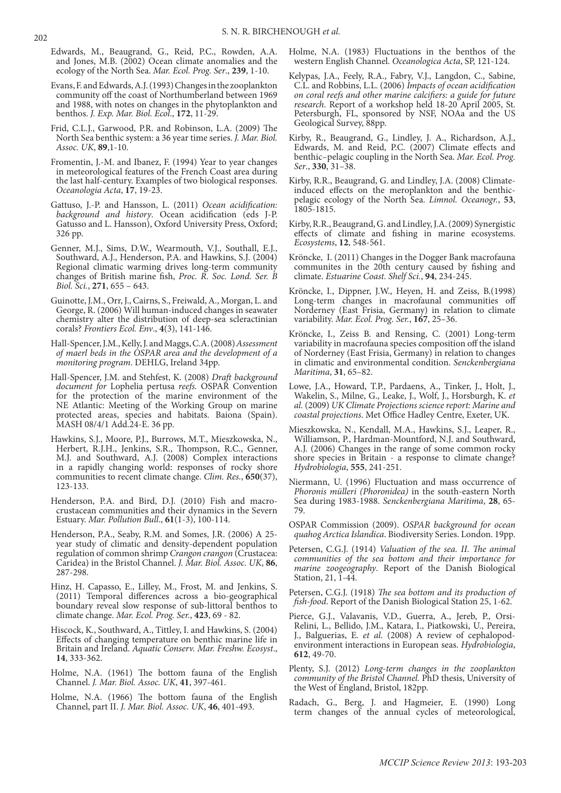- Edwards, M., Beaugrand, G., Reid, P.C., Rowden, A.A. and Jones, M.B. (2002) Ocean climate anomalies and the ecology of the North Sea. *Mar. Ecol. Prog. Ser*., **239**, 1-10.
- Evans, F. and Edwards, A.J. (1993) Changes in the zooplankton community off the coast of Northumberland between 1969 and 1988, with notes on changes in the phytoplankton and benthos. *J. Exp. Mar. Biol. Ecol*., **172**, 11-29.
- Frid, C.L.J., Garwood, P.R. and Robinson, L.A. (2009) The North Sea benthic system: a 36 year time series. *J. Mar. Biol. Assoc. UK*, **89**,1-10.
- Fromentin, J.-M. and Ibanez, F. (1994) Year to year changes in meteorological features of the French Coast area during the last half-century. Examples of two biological responses. *Oceanologia Acta*, **17**, 19-23.
- Gattuso, J.-P. and Hansson, L. (2011) *Ocean acidification: background and history*. Ocean acidification (eds J-P. Gatusso and L. Hansson), Oxford University Press, Oxford; 326 pp.
- Genner, M.J., Sims, D.W., Wearmouth, V.J., Southall, E.J., Southward, A.J., Henderson, P.A. and Hawkins, S.J. (2004) Regional climatic warming drives long-term community changes of British marine fish, *Proc. R. Soc. Lond. Ser. B Biol. Sci.*, **271**, 655 – 643.
- Guinotte, J.M., Orr, J., Cairns, S., Freiwald, A., Morgan, L. and George, R. (2006) Will human-induced changes in seawater chemistry alter the distribution of deep-sea scleractinian corals? *Frontiers Ecol. Env*., **4**(3), 141-146.
- Hall-Spencer, J.M., Kelly, J. and Maggs, C.A. (2008) *Assessment of maerl beds in the OSPAR area and the development of a monitoring program*. DEHLG, Ireland 34pp.
- Hall-Spencer, J.M. and Stehfest, K. (2008) *Draft background document for* Lophelia pertusa *reefs.* OSPAR Convention for the protection of the marine environment of the NE Atlantic: Meeting of the Working Group on marine protected areas, species and habitats. Baiona (Spain). MASH 08/4/1 Add.24-E. 36 pp.
- Hawkins, S.J., Moore, P.J., Burrows, M.T., Mieszkowska, N., Herbert, R.J.H., Jenkins, S.R., Thompson, R.C., Genner, M.J. and Southward, A.J. (2008) Complex interactions in a rapidly changing world: responses of rocky shore communities to recent climate change. *Clim. Res.*, **650**(37), 123-133.
- Henderson, P.A. and Bird, D.J. (2010) Fish and macrocrustacean communities and their dynamics in the Severn Estuary. *Mar. Pollution Bull*., **61**(1-3), 100-114.
- Henderson, P.A., Seaby, R.M. and Somes, J.R. (2006) A 25 year study of climatic and density-dependent population regulation of common shrimp *Crangon crangon* (Crustacea: Caridea) in the Bristol Channel. *J. Mar. Biol. Assoc. UK*, **86**, 287-298.
- Hinz, H. Capasso, E., Lilley, M., Frost, M. and Jenkins, S. (2011) Temporal differences across a bio-geographical boundary reveal slow response of sub-littoral benthos to climate change. *Mar. Ecol. Prog. Ser.*, **423**, 69 - 82.
- Hiscock, K., Southward, A., Tittley, I. and Hawkins, S. (2004) Effects of changing temperature on benthic marine life in Britain and Ireland. *Aquatic Conserv. Mar. Freshw. Ecosyst*., **14**, 333-362.
- Holme, N.A. (1961) The bottom fauna of the English Channel. *J. Mar. Biol. Assoc. UK*, **41**, 397-461.
- Holme, N.A. (1966) The bottom fauna of the English Channel, part II. *J. Mar. Biol. Assoc. UK*, **46**, 401-493.
- Holme, N.A. (1983) Fluctuations in the benthos of the western English Channel. *Oceanologica Acta*, SP, 121-124.
- Kelypas, J.A., Feely, R.A., Fabry, V.J., Langdon, C., Sabine, C.L. and Robbins, L.L. (2006) *Impacts of ocean acidification on coral reefs and other marine calcifiers: a guide for future research*. Report of a workshop held 18-20 April 2005, St. Petersburgh, FL, sponsored by NSF, NOAa and the US Geological Survey, 88pp.
- Kirby, R., Beaugrand, G., Lindley, J. A., Richardson, A.J., Edwards, M. and Reid, P.C. (2007) Climate effects and benthic–pelagic coupling in the North Sea. *Mar. Ecol. Prog. Ser*., **330**, 31–38.
- Kirby, R.R., Beaugrand, G. and Lindley, J.A. (2008) Climateinduced effects on the meroplankton and the benthicpelagic ecology of the North Sea. *Limnol. Oceanogr.*, **53**, 1805-1815.
- Kirby, R.R., Beaugrand, G. and Lindley, J.A. (2009) Synergistic effects of climate and fishing in marine ecosystems. *Ecosystems*, **12**, 548-561.
- Kröncke, I. (2011) Changes in the Dogger Bank macrofauna communites in the 20th century caused by fishing and climate. *Estuarine Coast. Shelf Sci.*, **94**, 234-245.
- Kröncke, I., Dippner, J.W., Heyen, H. and Zeiss, B.(1998) Long-term changes in macrofaunal communities off Norderney (East Frisia, Germany) in relation to climate variability. *Mar. Ecol. Prog. Ser.*, **167**, 25–36.
- Kröncke, I., Zeiss B. and Rensing, C. (2001) Long-term variability in macrofauna species composition off the island of Norderney (East Frisia, Germany) in relation to changes in climatic and environmental condition. *Senckenbergiana Maritima*, **31**, 65–82.
- Lowe, J.A., Howard, T.P., Pardaens, A., Tinker, J., Holt, J., Wakelin, S., Milne, G., Leake, J., Wolf, J., Horsburgh, K. *et al.* (2009) *UK Climate Projections science report: Marine and coastal projections*. Met Office Hadley Centre, Exeter, UK.
- Mieszkowska, N., Kendall, M.A., Hawkins, S.J., Leaper, R., Williamson, P., Hardman-Mountford, N.J. and Southward, A.J. (2006) Changes in the range of some common rocky shore species in Britain - a response to climate change? *Hydrobiologia*, **555**, 241-251.
- Niermann, U. (1996) Fluctuation and mass occurrence of *Phoronis mülleri (Phoronidea)* in the south-eastern North Sea during 1983-1988. *Senckenbergiana Maritima*, **28**, 65- 79.
- OSPAR Commission (2009). *OSPAR background for ocean quahog Arctica Islandica*. Biodiversity Series. London. 19pp.
- Petersen, C.G.J. (1914) *Valuation of the sea. II. The animal communities of the sea bottom and their importance for marine zoogeography*. Report of the Danish Biological Station, 21, 1-44.
- Petersen, C.G.J. (1918) *The sea bottom and its production of fish-food*. Report of the Danish Biological Station 25, 1-62.
- Pierce, G.J., Valavanis, V.D., Guerra, A., Jereb, P., Orsi-Relini, L., Bellido, J.M., Katara, I., Piatkowski, U., Pereira, J., Balguerias, E. *et al.* (2008) A review of cephalopodenvironment interactions in European seas. *Hydrobiologia*, **612**, 49-70.
- Plenty, S.J. (2012) *Long-term changes in the zooplankton community of the Bristol Channel.* PhD thesis, University of the West of England, Bristol, 182pp.
- Radach, G., Berg, J. and Hagmeier, E. (1990) Long term changes of the annual cycles of meteorological,